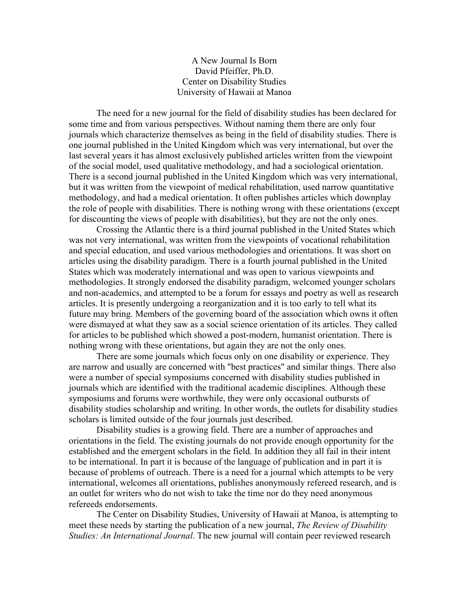A New Journal Is Born David Pfeiffer, Ph.D. Center on Disability Studies University of Hawaii at Manoa

The need for a new journal for the field of disability studies has been declared for some time and from various perspectives. Without naming them there are only four journals which characterize themselves as being in the field of disability studies. There is one journal published in the United Kingdom which was very international, but over the last several years it has almost exclusively published articles written from the viewpoint of the social model, used qualitative methodology, and had a sociological orientation. There is a second journal published in the United Kingdom which was very international, but it was written from the viewpoint of medical rehabilitation, used narrow quantitative methodology, and had a medical orientation. It often publishes articles which downplay the role of people with disabilities. There is nothing wrong with these orientations (except for discounting the views of people with disabilities), but they are not the only ones.

Crossing the Atlantic there is a third journal published in the United States which was not very international, was written from the viewpoints of vocational rehabilitation and special education, and used various methodologies and orientations. It was short on articles using the disability paradigm. There is a fourth journal published in the United States which was moderately international and was open to various viewpoints and methodologies. It strongly endorsed the disability paradigm, welcomed younger scholars and non-academics, and attempted to be a forum for essays and poetry as well as research articles. It is presently undergoing a reorganization and it is too early to tell what its future may bring. Members of the governing board of the association which owns it often were dismayed at what they saw as a social science orientation of its articles. They called for articles to be published which showed a post-modern, humanist orientation. There is nothing wrong with these orientations, but again they are not the only ones.

There are some journals which focus only on one disability or experience. They are narrow and usually are concerned with "best practices" and similar things. There also were a number of special symposiums concerned with disability studies published in journals which are identified with the traditional academic disciplines. Although these symposiums and forums were worthwhile, they were only occasional outbursts of disability studies scholarship and writing. In other words, the outlets for disability studies scholars is limited outside of the four journals just described.

Disability studies is a growing field. There are a number of approaches and orientations in the field. The existing journals do not provide enough opportunity for the established and the emergent scholars in the field. In addition they all fail in their intent to be international. In part it is because of the language of publication and in part it is because of problems of outreach. There is a need for a journal which attempts to be very international, welcomes all orientations, publishes anonymously refereed research, and is an outlet for writers who do not wish to take the time nor do they need anonymous refereeds endorsements.

The Center on Disability Studies, University of Hawaii at Manoa, is attempting to meet these needs by starting the publication of a new journal, *The Review of Disability Studies: An International Journal*. The new journal will contain peer reviewed research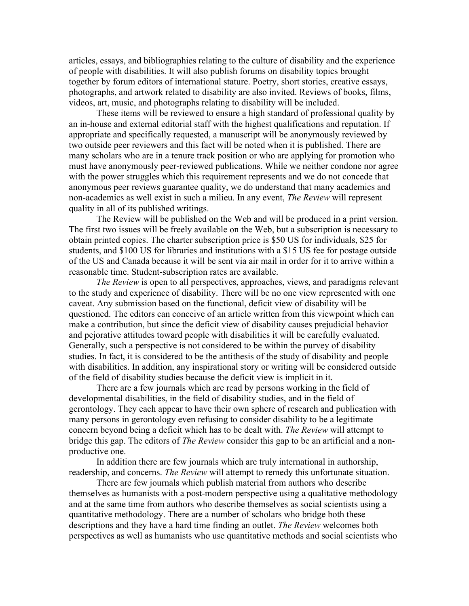articles, essays, and bibliographies relating to the culture of disability and the experience of people with disabilities. It will also publish forums on disability topics brought together by forum editors of international stature. Poetry, short stories, creative essays, photographs, and artwork related to disability are also invited. Reviews of books, films, videos, art, music, and photographs relating to disability will be included.

These items will be reviewed to ensure a high standard of professional quality by an in-house and external editorial staff with the highest qualifications and reputation. If appropriate and specifically requested, a manuscript will be anonymously reviewed by two outside peer reviewers and this fact will be noted when it is published. There are many scholars who are in a tenure track position or who are applying for promotion who must have anonymously peer-reviewed publications. While we neither condone nor agree with the power struggles which this requirement represents and we do not concede that anonymous peer reviews guarantee quality, we do understand that many academics and non-academics as well exist in such a milieu. In any event, *The Review* will represent quality in all of its published writings.

The Review will be published on the Web and will be produced in a print version. The first two issues will be freely available on the Web, but a subscription is necessary to obtain printed copies. The charter subscription price is \$50 US for individuals, \$25 for students, and \$100 US for libraries and institutions with a \$15 US fee for postage outside of the US and Canada because it will be sent via air mail in order for it to arrive within a reasonable time. Student-subscription rates are available.

*The Review* is open to all perspectives, approaches, views, and paradigms relevant to the study and experience of disability. There will be no one view represented with one caveat. Any submission based on the functional, deficit view of disability will be questioned. The editors can conceive of an article written from this viewpoint which can make a contribution, but since the deficit view of disability causes prejudicial behavior and pejorative attitudes toward people with disabilities it will be carefully evaluated. Generally, such a perspective is not considered to be within the purvey of disability studies. In fact, it is considered to be the antithesis of the study of disability and people with disabilities. In addition, any inspirational story or writing will be considered outside of the field of disability studies because the deficit view is implicit in it.

There are a few journals which are read by persons working in the field of developmental disabilities, in the field of disability studies, and in the field of gerontology. They each appear to have their own sphere of research and publication with many persons in gerontology even refusing to consider disability to be a legitimate concern beyond being a deficit which has to be dealt with. *The Review* will attempt to bridge this gap. The editors of *The Review* consider this gap to be an artificial and a nonproductive one.

In addition there are few journals which are truly international in authorship, readership, and concerns. *The Review* will attempt to remedy this unfortunate situation.

There are few journals which publish material from authors who describe themselves as humanists with a post-modern perspective using a qualitative methodology and at the same time from authors who describe themselves as social scientists using a quantitative methodology. There are a number of scholars who bridge both these descriptions and they have a hard time finding an outlet. *The Review* welcomes both perspectives as well as humanists who use quantitative methods and social scientists who